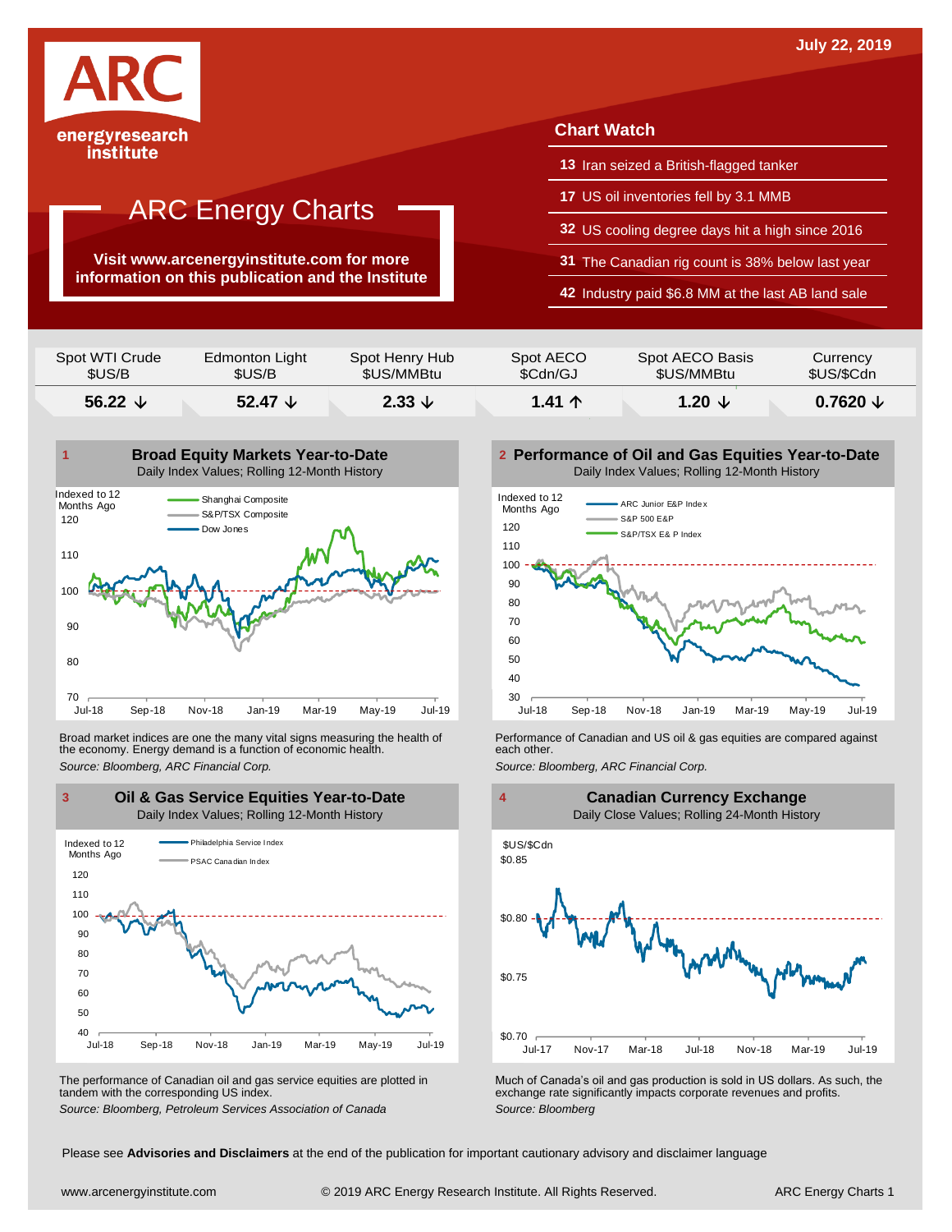

institute

# ARC Energy Charts

**Visit www.arcenergyinstitute.com for more information on this publication and the Institute**

## **Chart Watch**

- **13** Iran seized a British-flagged tanker
- **17** US oil inventories fell by 3.1 MMB
- **32** US cooling degree days hit a high since 2016
- **31** The Canadian rig count is 38% below last year
- **42** Industry paid \$6.8 MM at the last AB land sale

| Spot WTI Crude   | Edmonton Light   | Spot Henry Hub    | Spot AECO       | Spot AECO Basis   | Currency            |
|------------------|------------------|-------------------|-----------------|-------------------|---------------------|
| \$US/B           | \$US/B           | \$US/MMBtu        | \$Cdn/GJ        | \$US/MMBtu        | \$US/\$Cdn          |
| 56.22 $\sqrt{ }$ | 52.47 $\sqrt{ }$ | $2.33 \downarrow$ | 1.41 $\uparrow$ | 1.20 $\downarrow$ | $0.7620 \downarrow$ |



Broad market indices are one the many vital signs measuring the health of **Performance of Canadian and US oil &** gas equities are compared against the economy. Energy demand is a function of economic health. **The exact oth** the economy. Energy demand is a function of economic health.



The performance of Canadian oil and gas service equities are plotted in tandem with the corresponding US index.

**Performance of Oil and Gas Equities Year-to-Date** Daily Index Values; Rolling 12-Month History





The performance of Canadian oil and gas service equities are plotted in Much of Canada's oil and gas production is sold in US dollars. As such, the exchange rate significantly impacts corporate revenues and profits.<br>Source

Please see **Advisories and Disclaimers** at the end of the publication for important cautionary advisory and disclaimer language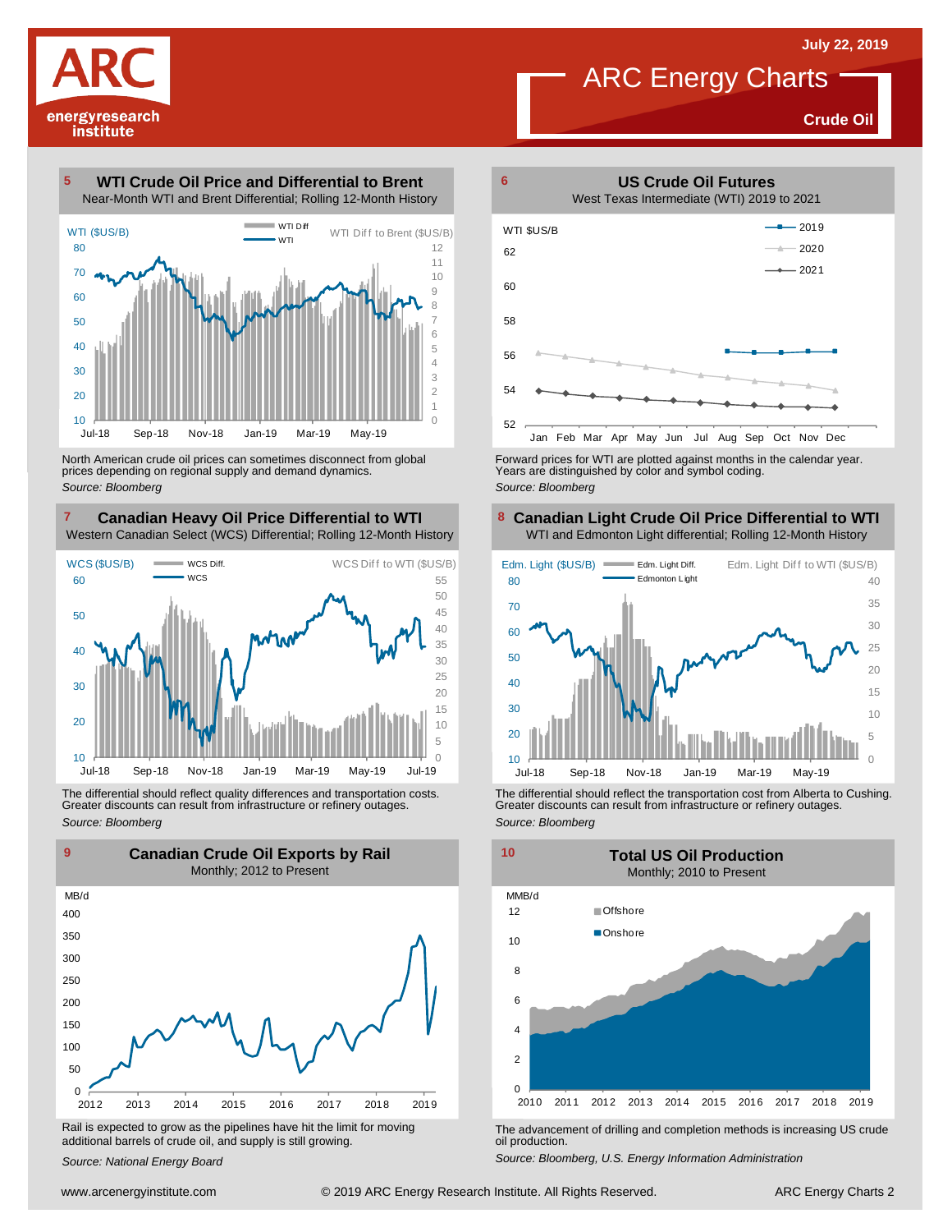**Crude Oil**

energyresearch institute

**WTI Crude Oil Price and Differential to Brent** Near-Month WTI and Brent Differential; Rolling 12-Month History 



North American crude oil prices can sometimes disconnect from global prices depending on regional supply and demand dynamics. *Source: Bloomberg*

#### **Canadian Heavy Oil Price Differential to WTI 8** Western Canadian Select (WCS) Differential; Rolling 12-Month History



The differential should reflect quality differences and transportation costs. Greater discounts can result from infrastructure or refinery outages. *Source: Bloomberg*



Rail is expected to grow as the pipelines have hit the limit for moving additional barrels of crude oil, and supply is still growing.

*Source: National Energy Board*



Forward prices for WTI are plotted against months in the calendar year. Years are distinguished by color and symbol coding. *Source: Bloomberg*

## **Canadian Light Crude Oil Price Differential to WTI** WTI and Edmonton Light differential; Rolling 12-Month History



The differential should reflect the transportation cost from Alberta to Cushing. Greater discounts can result from infrastructure or refinery outages. *Source: Bloomberg*



The advancement of drilling and completion methods is increasing US crude oil production.

*Source: Bloomberg, U.S. Energy Information Administration*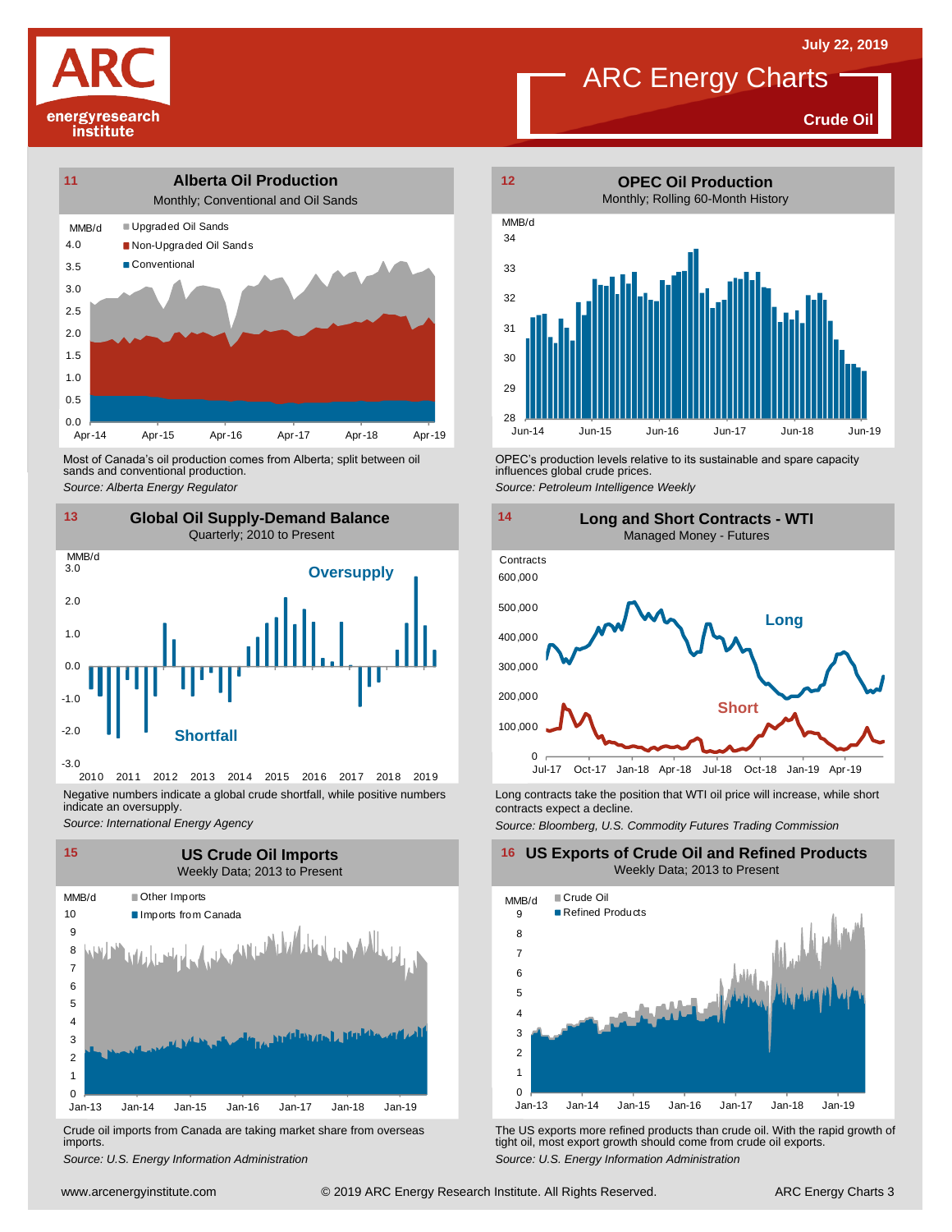



**Crude Oil**



Most of Canada's oil production comes from Alberta; split between oil sands and conventional production. Most of Canada's oil production comes from Alberta; split between oil **Source:** OPEC's production levels relative to its sustainable and spare capacity<br>
Source: Alberta *Energy Regulator*<br>
Source: Petroleum Intelligence We



2010 2011 2012 2013 2014 2015 2016 2017 2018 2019 Negative numbers indicate a global crude shortfall, while positive numbers indicate an oversupply.

*Source: International Energy Agency*



Crude oil imports from Canada are taking market share from overseas imports.



influences global crude prices. *Source: Petroleum Intelligence Weekly*



Long contracts take the position that WTI oil price will increase, while short contracts expect a decline.

*Source: Bloomberg, U.S. Commodity Futures Trading Commission*

#### **16 US Exports of Crude Oil and Refined Products** Weekly Data; 2013 to Present



Using the US exports more refined products than crude oil With the rapid growth of US exports from Canada are taking market share from overseas<br>
Source: U.S. Energy Information Administration<br>
www.arcenergyinstitute.com © *S*rude oil imports from Canada are taking market share from overseas The US exports more refined products than crude oil. With the rapid growth of imports.<br> *Source: U.S. Energy Information Administration*<br>
Source: U.S. E tight oil, most export growth should come from crude oil exports. *Source: U.S. Energy Information Administration*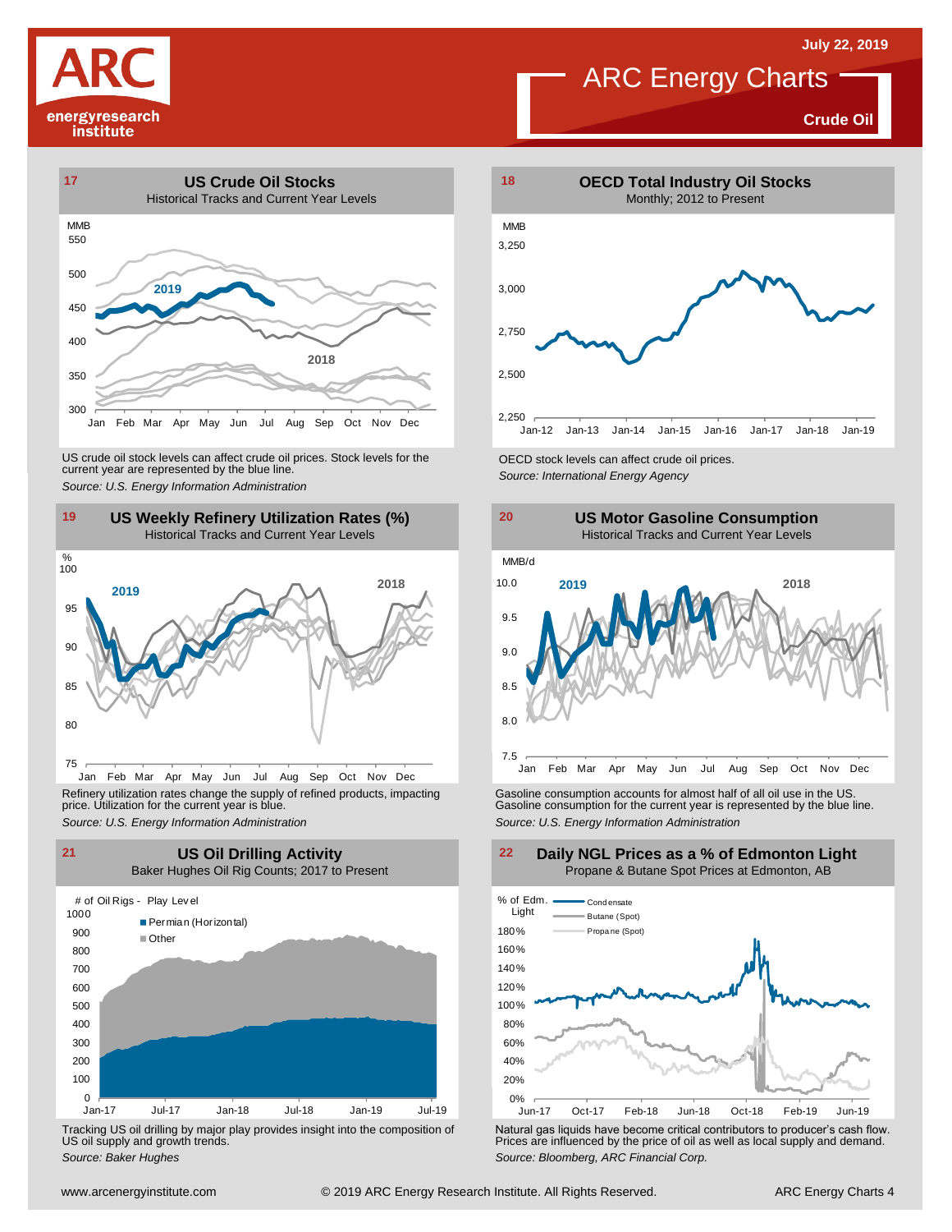# energyresearch

institute

## ARC Energy Charts

**Crude Oil**



US crude oil stock levels can affect crude oil prices. Stock levels for the CECD stock levels can affect crude oil prices.<br>
Source: U.S. Energy Information Administration<br>
19 US Weekly Refinery Utilization Rates (%)<br>
Histo



Refinery utilization rates change the supply of refined products, impacting price. Utilization for the current year is blue.



Tracking US oil drilling by major play provides insight into the composition of US oil supply and growth trends.





Refinery utilization rates change the supply of refined products, impacting<br>
price. Utilization for the current year is blue.<br>
Source: U.S. Energy Information Administration<br>
Source: U.S. Energy Information Administration<br>



United the Composition of US oil drilling by major play provides insight into the composition of US oil supply and growth trends.<br>
Source: Baker Hughes Composition of US oil supply and growth trends.<br>
Source: Baker Hughes Tracking US oil drilling by major play provides insight into the composition of<br>US oil supply and growth trends.<br>Source: Baker Hughes<br>Source: Baker Hughes

## **Daily NGL Prices as a % of Edmonton Light** Propane & Butane Spot Prices at Edmonton, AB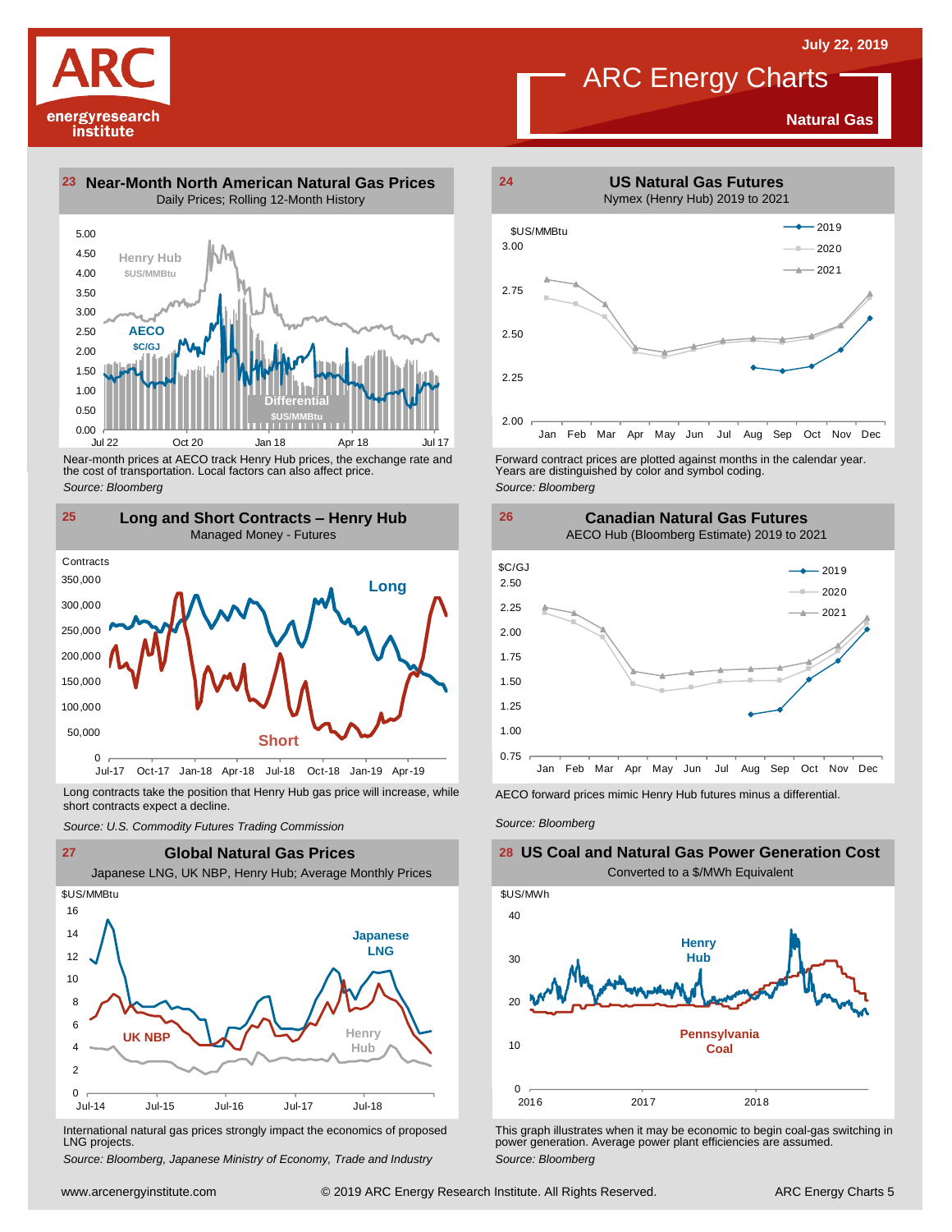**Natural Gas**

1.50 2.00 2.50 3.00 3.50 4.00 4.50 5.00 Daily Prices; Rolling 12-Month History **Henry Hub \$US/MMBtu AECO \$C/GJ**





*Source: Bloomberg*

energyresearch institute



Long contracts take the position that Henry Hub gas price will increase, while short contracts expect a decline. *Source: U.S. Commodity Futures Trading Commission* AECO forward prices mimic Henry Hub futures minus <sup>a</sup> differential. *Source: Bloomberg*



International natural gas prices strongly impact the economics of proposed LNG projects.

*Source: Bloomberg, Japanese Ministry of Economy, Trade and Industry*



Forward contract prices are plotted against months in the calendar year.<br>Years are distinguished by color and symbol coding. *Source: Bloomberg*

**Canadian Natural Gas Futures**



**26**



This graph illustrates when it may be economic to begin coal-gas switching in power generation. Average power plant efficiencies are assumed. *Source: Bloomberg*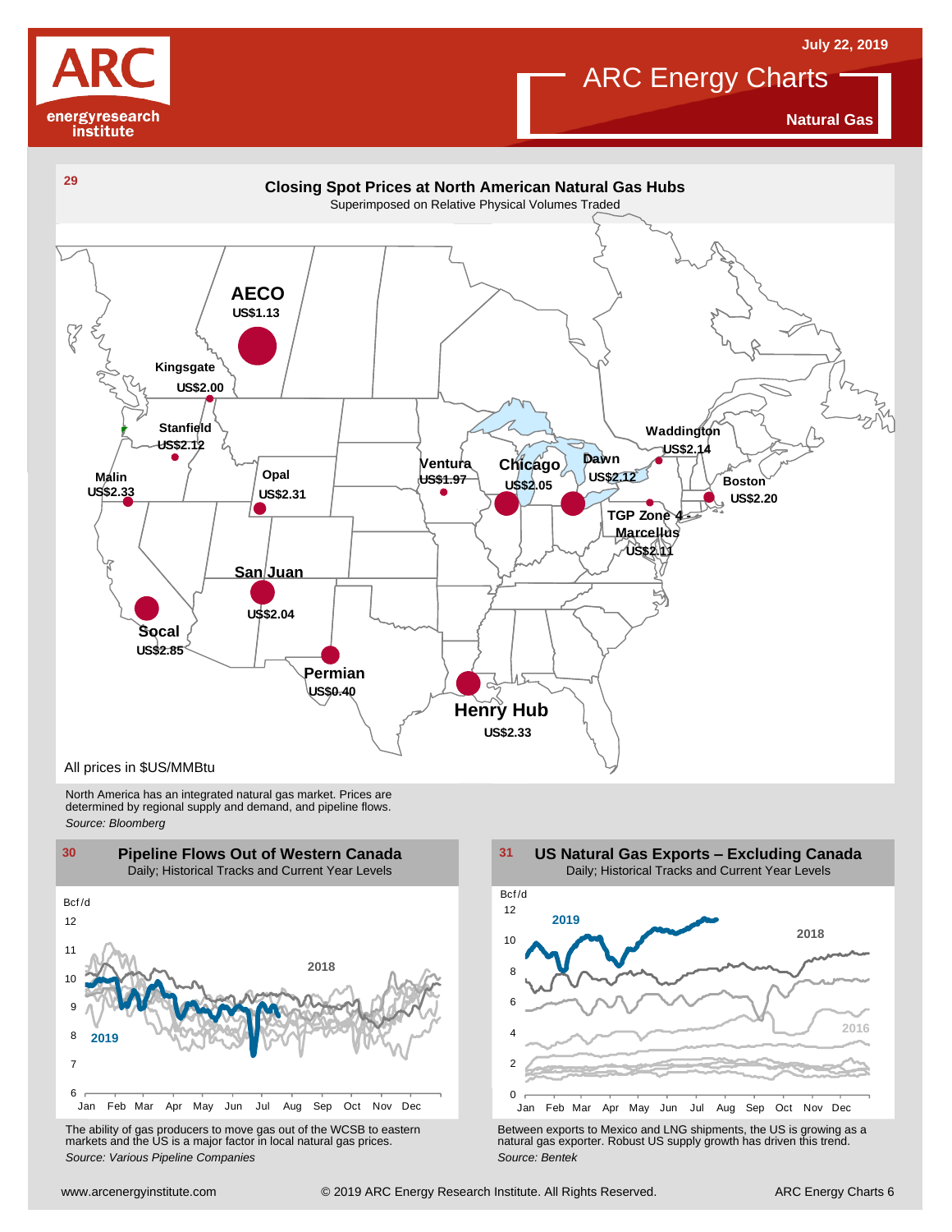



**Natural Gas**



North America has an integrated natural gas market. Prices are determined by regional supply and demand, and pipeline flows. *Source: Bloomberg*



The ability of gas producers to move gas out of the WCSB to eastern markets and the US is <sup>a</sup> major factor in local natural gas prices.

2 4 6 8 10 12 Jan Feb Mar Apr May Jun Jul Aug Sep Oct Nov Dec Bcf /d **US Natural Gas Exports – Excluding Canada** Daily; Historical Tracks and Current Year Levels **2018 2016 2019**

Using the Marting of the Way Jun Juli Augusta Control of the WCSB to eastern<br>
The ability of gas producers to move gas out of the WCSB to eastern<br>
markets and the US is a major factor in local natural gas prices.<br>
Source: The ability of gas producers to move gas out of the WCSB to eastern<br>
markets and the US is a major factor in local natural gas prices.<br>
Source: Various Pipeline Companies<br>
Source: Bentek<br>
Source: Bentek<br>
Source: Bentek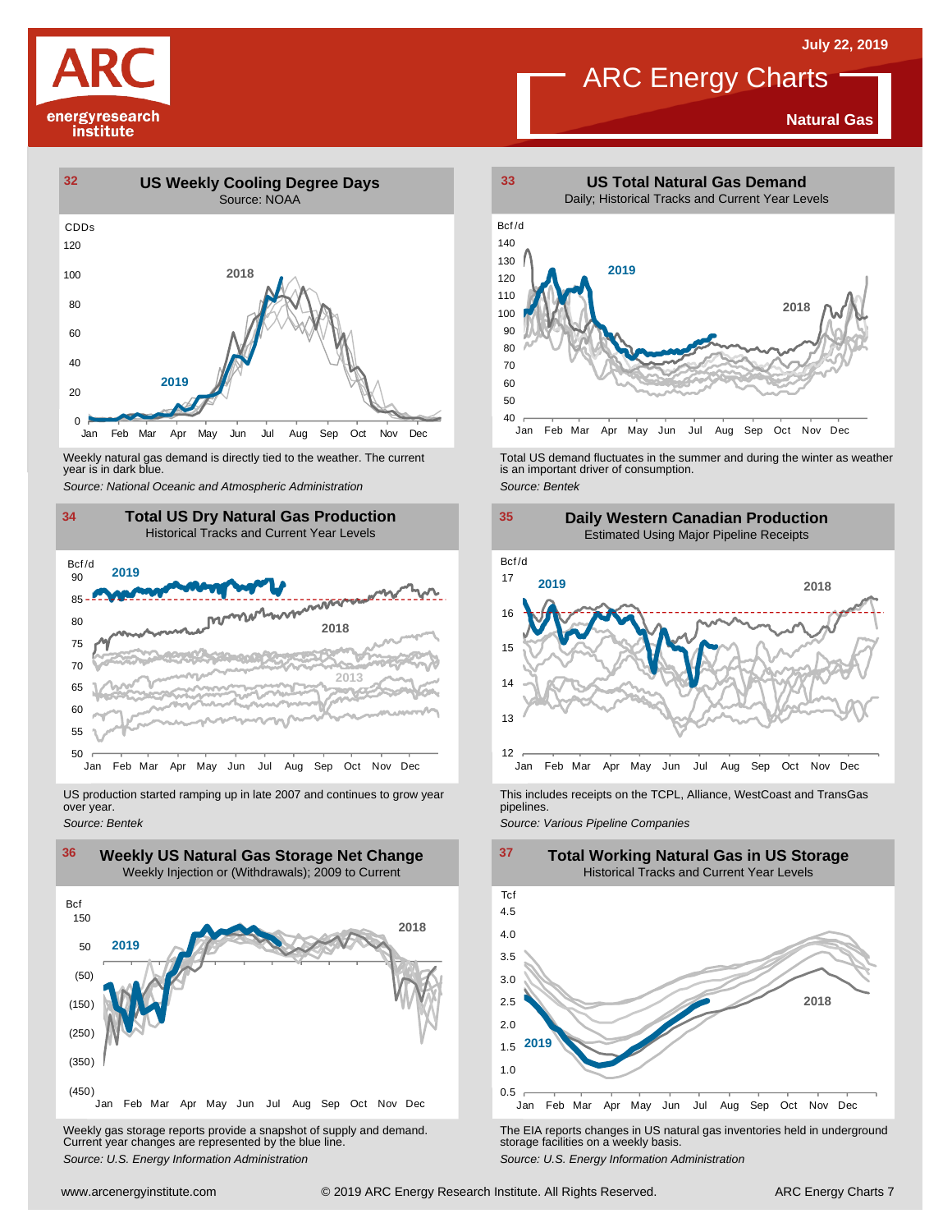

## **Natural Gas**



Weekly natural gas demand is directly tied to the weather. The current year is in dark blue.



US production started ramping up in late 2007 and continues to grow year over year. *Source: Bentek*



Weekly gas storage reports provide <sup>a</sup> snapshot of supply and demand. Current year changes are represented by the blue line. Weekly gas storage reports provide a snapshot of supply and demand.<br>
The EIA reports changes in US natural gas inventories held in underground<br>
Source: U.S. Energy Information Administration<br>
Source: U.S. Energy Informatio



Weekly natural gas demand is directly tied to the weather. The current<br>year is in dark blue.<br>Source: National Oceanic and Atmospheric Administration<br>Source: Bentek<br>Source: Bentek



This includes receipts on the TCPL, Alliance, WestCoast and TransGas pipelines.

*Source: Various Pipeline Companies*

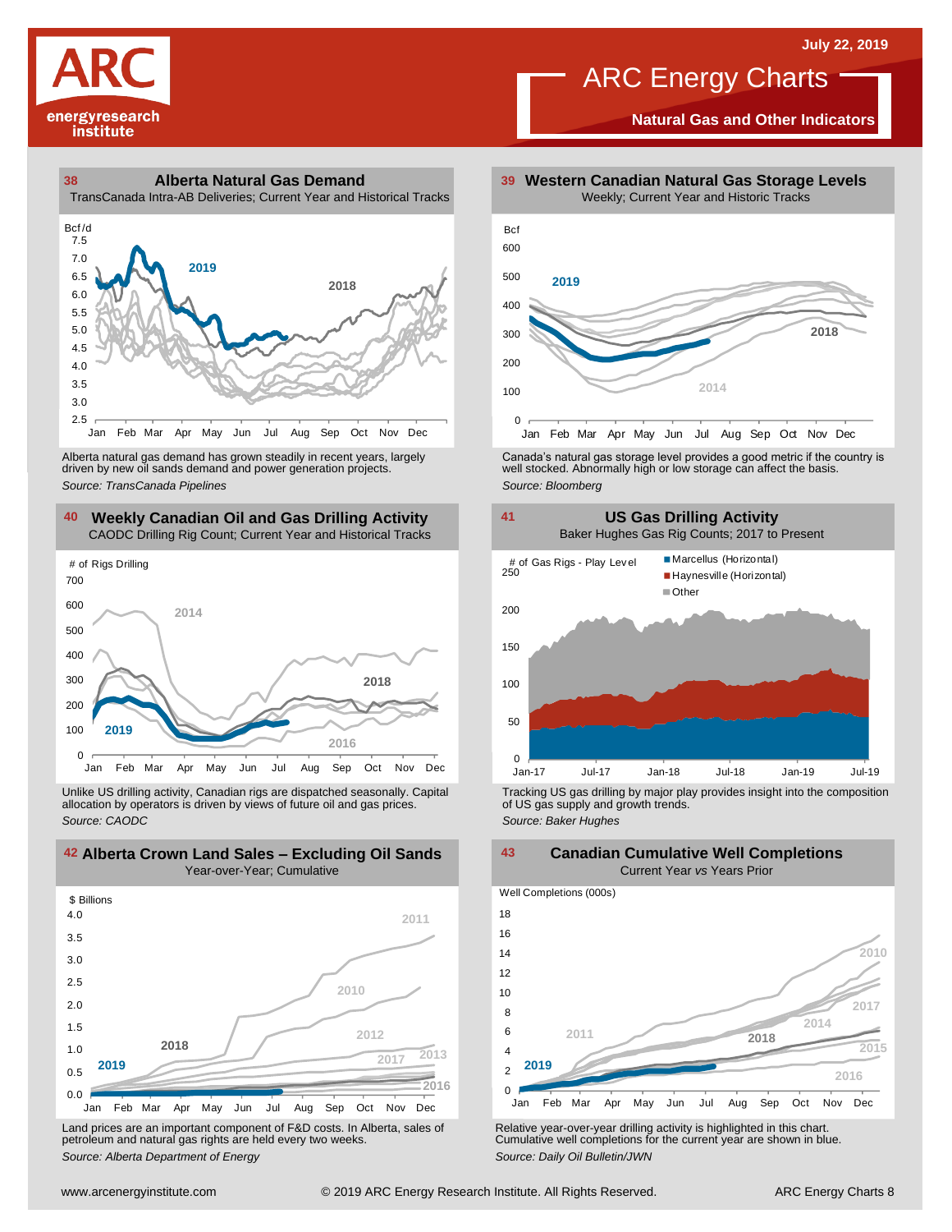

**Natural Gas and Other Indicators**



driven by new oil sands demand and power generation projects.

## **40 41 Weekly Canadian Oil and Gas Drilling Activity** CAODC Drilling Rig Count; Current Year and Historical Tracks



Unlike US drilling activity, Canadian rigs are dispatched seasonally. Capital allocation by operators is driven by views of future oil and gas prices. *Source: CAODC*



Land prices are an important component of F&D costs. In Alberta, sales of petroleum and natural gas rights are held every two weeks. *Source: Alberta Department of Energy*



Alberta natural gas demand has grown steadily in recent years, largely **canada's natural gas storage level provid**es a good metric if the country is driven by new oil sands demand and power generation projects.<br>And the sto



Tracking US gas drilling by major play provides insight into the composition of US gas supply and growth trends. *Source: Baker Hughes*

**42 43 Alberta Crown Land Sales – Excluding Oil Sands Canadian Cumulative Well Completions** Current Year *vs* Years Prior



Relative year-over-year drilling activity is highlighted in this chart. Cumulative well completions for the current year are shown in blue. *Source: Daily Oil Bulletin/JWN*